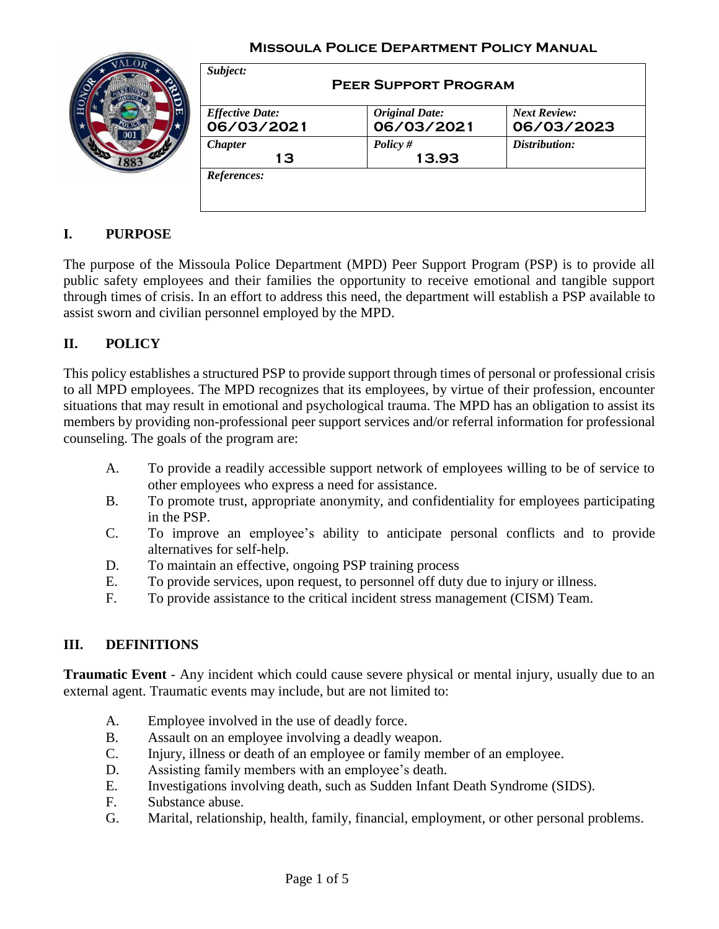

| <b>Effective Date:</b> | <b>Original Date:</b> | <b>Next Review:</b> |
|------------------------|-----------------------|---------------------|
| 06/03/2021             | 06/03/2021            | 06/03/2023          |
| <b>Chapter</b><br>13   | Policy $#$<br>13.93   | Distribution:       |

## **I. PURPOSE**

The purpose of the Missoula Police Department (MPD) Peer Support Program (PSP) is to provide all public safety employees and their families the opportunity to receive emotional and tangible support through times of crisis. In an effort to address this need, the department will establish a PSP available to assist sworn and civilian personnel employed by the MPD.

### **II. POLICY**

This policy establishes a structured PSP to provide support through times of personal or professional crisis to all MPD employees. The MPD recognizes that its employees, by virtue of their profession, encounter situations that may result in emotional and psychological trauma. The MPD has an obligation to assist its members by providing non-professional peer support services and/or referral information for professional counseling. The goals of the program are:

- A. To provide a readily accessible support network of employees willing to be of service to other employees who express a need for assistance.
- B. To promote trust, appropriate anonymity, and confidentiality for employees participating in the PSP.
- C. To improve an employee's ability to anticipate personal conflicts and to provide alternatives for self-help.
- D. To maintain an effective, ongoing PSP training process
- E. To provide services, upon request, to personnel off duty due to injury or illness.
- F. To provide assistance to the critical incident stress management (CISM) Team.

#### **III. DEFINITIONS**

**Traumatic Event** - Any incident which could cause severe physical or mental injury, usually due to an external agent. Traumatic events may include, but are not limited to:

- A. Employee involved in the use of deadly force.
- B. Assault on an employee involving a deadly weapon.
- C. Injury, illness or death of an employee or family member of an employee.
- D. Assisting family members with an employee's death.
- E. Investigations involving death, such as Sudden Infant Death Syndrome (SIDS).
- F. Substance abuse.
- G. Marital, relationship, health, family, financial, employment, or other personal problems.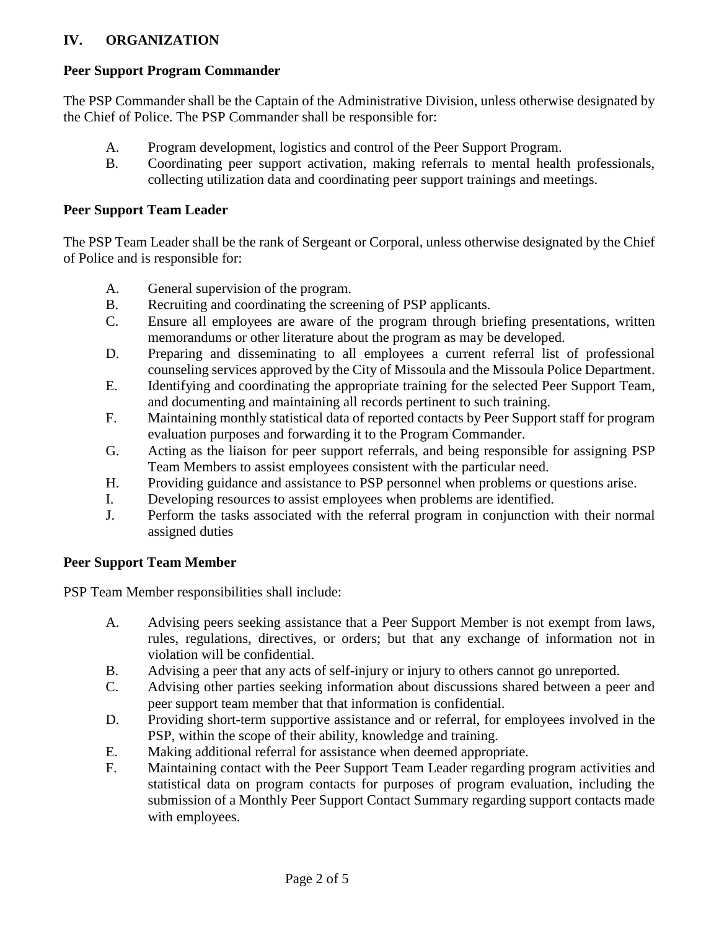## **IV. ORGANIZATION**

# **Peer Support Program Commander**

The PSP Commander shall be the Captain of the Administrative Division, unless otherwise designated by the Chief of Police. The PSP Commander shall be responsible for:

- A. Program development, logistics and control of the Peer Support Program.
- B. Coordinating peer support activation, making referrals to mental health professionals, collecting utilization data and coordinating peer support trainings and meetings.

# **Peer Support Team Leader**

The PSP Team Leader shall be the rank of Sergeant or Corporal, unless otherwise designated by the Chief of Police and is responsible for:

- A. General supervision of the program.
- B. Recruiting and coordinating the screening of PSP applicants.
- C. Ensure all employees are aware of the program through briefing presentations, written memorandums or other literature about the program as may be developed.
- D. Preparing and disseminating to all employees a current referral list of professional counseling services approved by the City of Missoula and the Missoula Police Department.
- E. Identifying and coordinating the appropriate training for the selected Peer Support Team, and documenting and maintaining all records pertinent to such training.
- F. Maintaining monthly statistical data of reported contacts by Peer Support staff for program evaluation purposes and forwarding it to the Program Commander.
- G. Acting as the liaison for peer support referrals, and being responsible for assigning PSP Team Members to assist employees consistent with the particular need.
- H. Providing guidance and assistance to PSP personnel when problems or questions arise.
- I. Developing resources to assist employees when problems are identified.
- J. Perform the tasks associated with the referral program in conjunction with their normal assigned duties

# **Peer Support Team Member**

PSP Team Member responsibilities shall include:

- A. Advising peers seeking assistance that a Peer Support Member is not exempt from laws, rules, regulations, directives, or orders; but that any exchange of information not in violation will be confidential.
- B. Advising a peer that any acts of self-injury or injury to others cannot go unreported.
- C. Advising other parties seeking information about discussions shared between a peer and peer support team member that that information is confidential.
- D. Providing short-term supportive assistance and or referral, for employees involved in the PSP, within the scope of their ability, knowledge and training.
- E. Making additional referral for assistance when deemed appropriate.
- F. Maintaining contact with the Peer Support Team Leader regarding program activities and statistical data on program contacts for purposes of program evaluation, including the submission of a Monthly Peer Support Contact Summary regarding support contacts made with employees.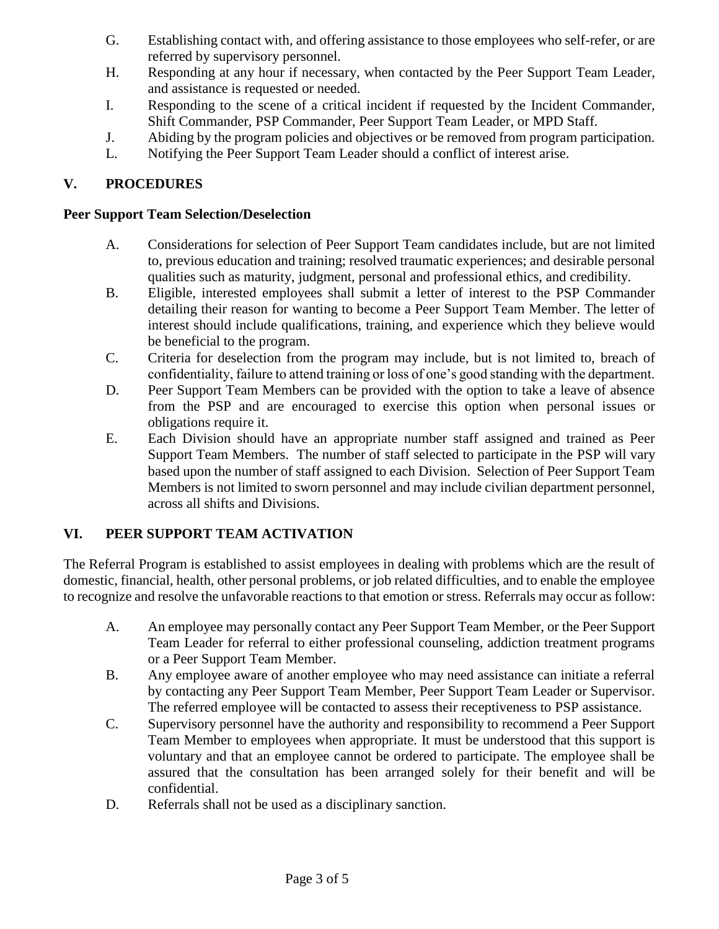- G. Establishing contact with, and offering assistance to those employees who self-refer, or are referred by supervisory personnel.
- H. Responding at any hour if necessary, when contacted by the Peer Support Team Leader, and assistance is requested or needed.
- I. Responding to the scene of a critical incident if requested by the Incident Commander, Shift Commander, PSP Commander, Peer Support Team Leader, or MPD Staff.
- J. Abiding by the program policies and objectives or be removed from program participation.
- L. Notifying the Peer Support Team Leader should a conflict of interest arise.

### **V. PROCEDURES**

#### **Peer Support Team Selection/Deselection**

- A. Considerations for selection of Peer Support Team candidates include, but are not limited to, previous education and training; resolved traumatic experiences; and desirable personal qualities such as maturity, judgment, personal and professional ethics, and credibility.
- B. Eligible, interested employees shall submit a letter of interest to the PSP Commander detailing their reason for wanting to become a Peer Support Team Member. The letter of interest should include qualifications, training, and experience which they believe would be beneficial to the program.
- C. Criteria for deselection from the program may include, but is not limited to, breach of confidentiality, failure to attend training or loss of one's good standing with the department.
- D. Peer Support Team Members can be provided with the option to take a leave of absence from the PSP and are encouraged to exercise this option when personal issues or obligations require it.
- E. Each Division should have an appropriate number staff assigned and trained as Peer Support Team Members. The number of staff selected to participate in the PSP will vary based upon the number of staff assigned to each Division. Selection of Peer Support Team Members is not limited to sworn personnel and may include civilian department personnel, across all shifts and Divisions.

## **VI. PEER SUPPORT TEAM ACTIVATION**

The Referral Program is established to assist employees in dealing with problems which are the result of domestic, financial, health, other personal problems, or job related difficulties, and to enable the employee to recognize and resolve the unfavorable reactions to that emotion or stress. Referrals may occur as follow:

- A. An employee may personally contact any Peer Support Team Member, or the Peer Support Team Leader for referral to either professional counseling, addiction treatment programs or a Peer Support Team Member.
- B. Any employee aware of another employee who may need assistance can initiate a referral by contacting any Peer Support Team Member, Peer Support Team Leader or Supervisor. The referred employee will be contacted to assess their receptiveness to PSP assistance.
- C. Supervisory personnel have the authority and responsibility to recommend a Peer Support Team Member to employees when appropriate. It must be understood that this support is voluntary and that an employee cannot be ordered to participate. The employee shall be assured that the consultation has been arranged solely for their benefit and will be confidential.
- D. Referrals shall not be used as a disciplinary sanction.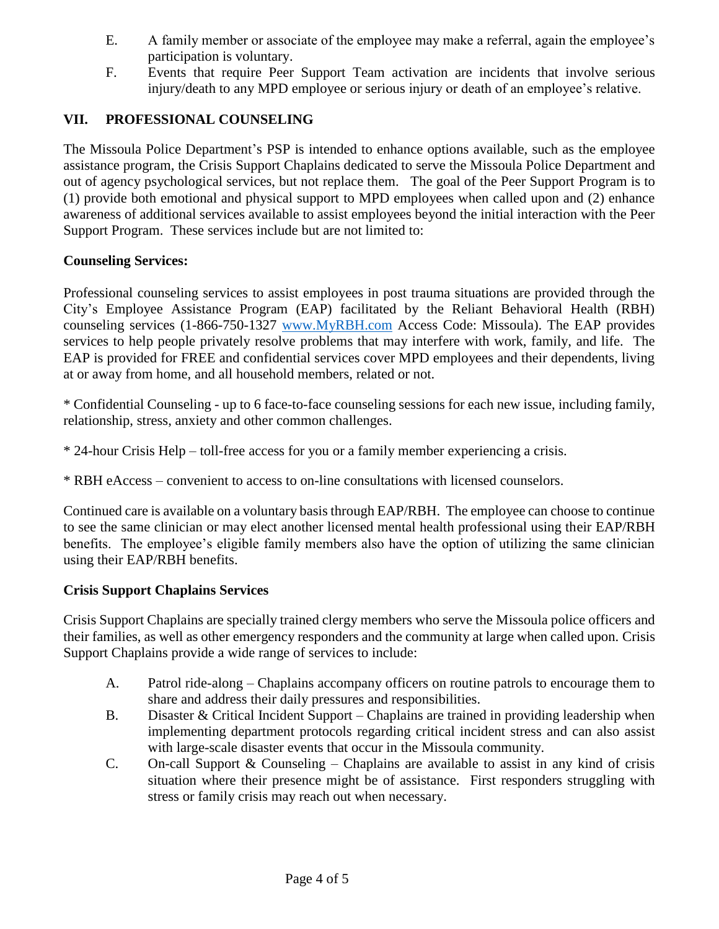- E. A family member or associate of the employee may make a referral, again the employee's participation is voluntary.
- F. Events that require Peer Support Team activation are incidents that involve serious injury/death to any MPD employee or serious injury or death of an employee's relative.

### **VII. PROFESSIONAL COUNSELING**

The Missoula Police Department's PSP is intended to enhance options available, such as the employee assistance program, the Crisis Support Chaplains dedicated to serve the Missoula Police Department and out of agency psychological services, but not replace them. The goal of the Peer Support Program is to (1) provide both emotional and physical support to MPD employees when called upon and (2) enhance awareness of additional services available to assist employees beyond the initial interaction with the Peer Support Program. These services include but are not limited to:

#### **Counseling Services:**

Professional counseling services to assist employees in post trauma situations are provided through the City's Employee Assistance Program (EAP) facilitated by the Reliant Behavioral Health (RBH) counseling services (1-866-750-1327 [www.MyRBH.com](http://www.myrbh.com/) Access Code: Missoula). The EAP provides services to help people privately resolve problems that may interfere with work, family, and life. The EAP is provided for FREE and confidential services cover MPD employees and their dependents, living at or away from home, and all household members, related or not.

\* Confidential Counseling - up to 6 face-to-face counseling sessions for each new issue, including family, relationship, stress, anxiety and other common challenges.

- \* 24-hour Crisis Help toll-free access for you or a family member experiencing a crisis.
- \* RBH eAccess convenient to access to on-line consultations with licensed counselors.

Continued care is available on a voluntary basis through EAP/RBH. The employee can choose to continue to see the same clinician or may elect another licensed mental health professional using their EAP/RBH benefits. The employee's eligible family members also have the option of utilizing the same clinician using their EAP/RBH benefits.

#### **Crisis Support Chaplains Services**

Crisis Support Chaplains are specially trained clergy members who serve the Missoula police officers and their families, as well as other emergency responders and the community at large when called upon. Crisis Support Chaplains provide a wide range of services to include:

- A. Patrol ride-along Chaplains accompany officers on routine patrols to encourage them to share and address their daily pressures and responsibilities.
- B. Disaster & Critical Incident Support Chaplains are trained in providing leadership when implementing department protocols regarding critical incident stress and can also assist with large-scale disaster events that occur in the Missoula community.
- C. On-call Support & Counseling Chaplains are available to assist in any kind of crisis situation where their presence might be of assistance. First responders struggling with stress or family crisis may reach out when necessary.